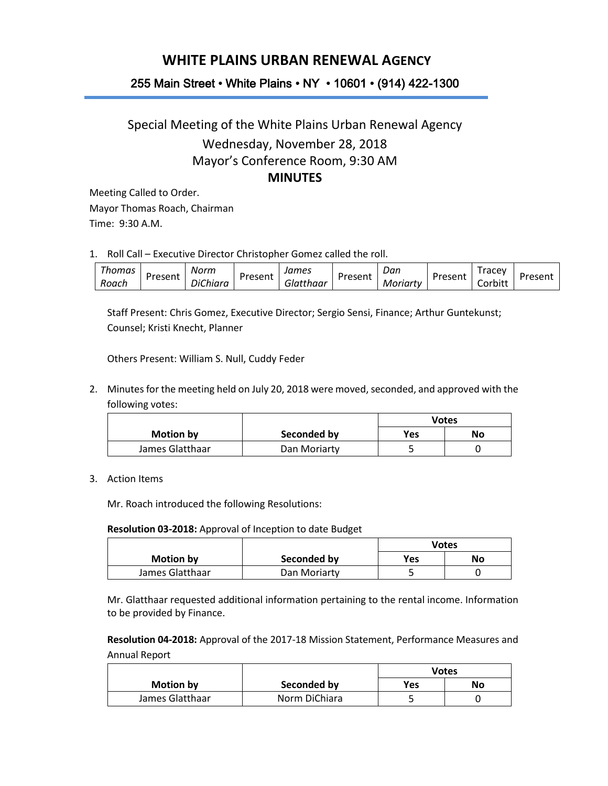## **WHITE PLAINS URBAN RENEWAL AGENCY**

### 255 Main Street • White Plains • NY • 10601 • (914) 422-1300

# Special Meeting of the White Plains Urban Renewal Agency Wednesday, November 28, 2018 Mayor's Conference Room, 9:30 AM **MINUTES**

Meeting Called to Order. Mayor Thomas Roach, Chairman Time: 9:30 A.M.

1. Roll Call – Executive Director Christopher Gomez called the roll.

| --    | ' homas |         | Norm                             |         | James     |         | Dan      |         | racey       |         |
|-------|---------|---------|----------------------------------|---------|-----------|---------|----------|---------|-------------|---------|
| Roach |         | Present | $\sim$ $\sim$ $\sim$<br>DiChiara | Present | Glatthaar | Present | Moriartv | Present | .<br>orbitt | Present |

Staff Present: Chris Gomez, Executive Director; Sergio Sensi, Finance; Arthur Guntekunst; Counsel; Kristi Knecht, Planner

Others Present: William S. Null, Cuddy Feder

2. Minutes for the meeting held on July 20, 2018 were moved, seconded, and approved with the following votes:

|                  |              | Votes |    |
|------------------|--------------|-------|----|
| <b>Motion by</b> | Seconded by  | Yes   | No |
| James Glatthaar  | Dan Moriarty |       |    |

### 3. Action Items

Mr. Roach introduced the following Resolutions:

### **Resolution 03-2018:** Approval of Inception to date Budget

|                 |              | <b>Votes</b> |    |  |
|-----------------|--------------|--------------|----|--|
| Motion by       | Seconded by  | Yes          | No |  |
| James Glatthaar | Dan Moriarty |              |    |  |

Mr. Glatthaar requested additional information pertaining to the rental income. Information to be provided by Finance.

**Resolution 04-2018:** Approval of the 2017-18 Mission Statement, Performance Measures and Annual Report

|                  |               | <b>Votes</b> |    |
|------------------|---------------|--------------|----|
| <b>Motion by</b> | Seconded by   | Yes          | No |
| James Glatthaar  | Norm DiChiara |              |    |